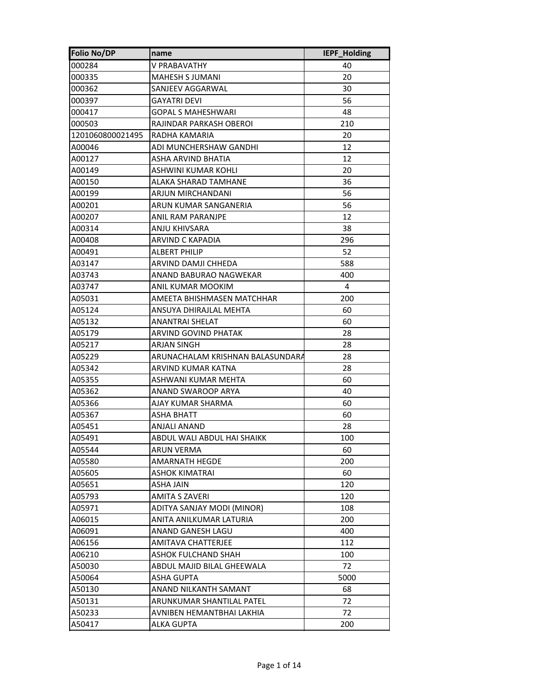| <b>Folio No/DP</b> | name                             | IEPF_Holding |
|--------------------|----------------------------------|--------------|
| 000284             | V PRABAVATHY                     | 40           |
| 000335             | MAHESH S JUMANI                  | 20           |
| 000362             | SANJEEV AGGARWAL                 | 30           |
| 000397             | GAYATRI DEVI                     | 56           |
| 000417             | GOPAL S MAHESHWARI               | 48           |
| 000503             | RAJINDAR PARKASH OBEROI          | 210          |
| 1201060800021495   | RADHA KAMARIA                    | 20           |
| A00046             | ADI MUNCHERSHAW GANDHI           | 12           |
| A00127             | ASHA ARVIND BHATIA               | 12           |
| A00149             | ASHWINI KUMAR KOHLI              | 20           |
| A00150             | ALAKA SHARAD TAMHANE             | 36           |
| A00199             | ARJUN MIRCHANDANI                | 56           |
| A00201             | ARUN KUMAR SANGANERIA            | 56           |
| A00207             | ANIL RAM PARANJPE                | 12           |
| A00314             | ANJU KHIVSARA                    | 38           |
| A00408             | ARVIND C KAPADIA                 | 296          |
| A00491             | <b>ALBERT PHILIP</b>             | 52           |
| A03147             | ARVIND DAMJI CHHEDA              | 588          |
| A03743             | ANAND BABURAO NAGWEKAR           | 400          |
| A03747             | ANIL KUMAR MOOKIM                | 4            |
| A05031             | AMEETA BHISHMASEN MATCHHAR       | 200          |
| A05124             | ANSUYA DHIRAJLAL MEHTA           | 60           |
| A05132             | ANANTRAI SHELAT                  | 60           |
| A05179             | ARVIND GOVIND PHATAK             | 28           |
| A05217             | ARJAN SINGH                      | 28           |
| A05229             | ARUNACHALAM KRISHNAN BALASUNDARA | 28           |
| A05342             | ARVIND KUMAR KATNA               | 28           |
| A05355             | ASHWANI KUMAR MEHTA              | 60           |
| A05362             | ANAND SWAROOP ARYA               | 40           |
| A05366             | AJAY KUMAR SHARMA                | 60           |
| A05367             | <b>ASHA BHATT</b>                | 60           |
| A05451             | ANJALI ANAND                     | 28           |
| A05491             | ABDUL WALI ABDUL HAI SHAIKK      | 100          |
| A05544             | ARUN VERMA                       | 60           |
| A05580             | <b>AMARNATH HEGDE</b>            | 200          |
| A05605             | <b>ASHOK KIMATRAI</b>            | 60           |
| A05651             | ASHA JAIN                        | 120          |
| A05793             | AMITA S ZAVERI                   | 120          |
| A05971             | ADITYA SANJAY MODI (MINOR)       | 108          |
| A06015             | ANITA ANILKUMAR LATURIA          | 200          |
| A06091             | ANAND GANESH LAGU                | 400          |
| A06156             | <b>AMITAVA CHATTERJEE</b>        | 112          |
| A06210             | ASHOK FULCHAND SHAH              | 100          |
| A50030             | ABDUL MAJID BILAL GHEEWALA       | 72           |
| A50064             | <b>ASHA GUPTA</b>                | 5000         |
| A50130             | ANAND NILKANTH SAMANT            | 68           |
| A50131             | ARUNKUMAR SHANTILAL PATEL        | 72           |
| A50233             | AVNIBEN HEMANTBHAI LAKHIA        | 72           |
| A50417             | <b>ALKA GUPTA</b>                | 200          |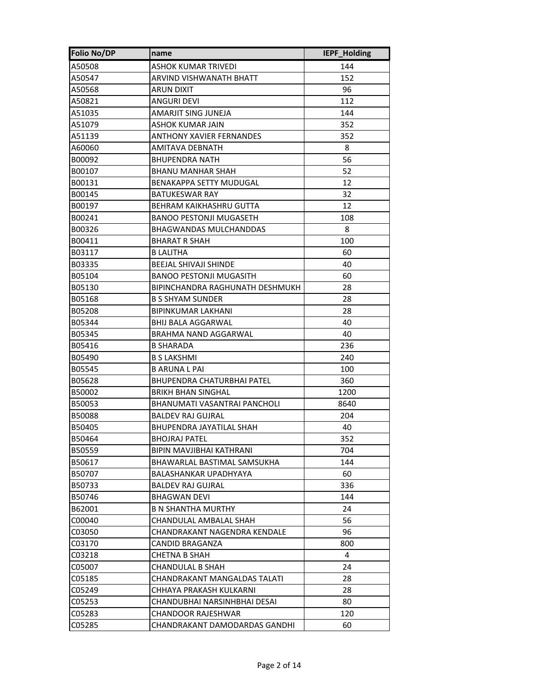| <b>Folio No/DP</b> | name                            | <b>IEPF Holding</b> |
|--------------------|---------------------------------|---------------------|
| A50508             | ASHOK KUMAR TRIVEDI             | 144                 |
| A50547             | ARVIND VISHWANATH BHATT         | 152                 |
| A50568             | ARUN DIXIT                      | 96                  |
| A50821             | ANGURI DEVI                     | 112                 |
| A51035             | AMARJIT SING JUNEJA             | 144                 |
| A51079             | ASHOK KUMAR JAIN                | 352                 |
| A51139             | <b>ANTHONY XAVIER FERNANDES</b> | 352                 |
| A60060             | <b>AMITAVA DEBNATH</b>          | 8                   |
| B00092             | BHUPENDRA NATH                  | 56                  |
| B00107             | BHANU MANHAR SHAH               | 52                  |
| B00131             | <b>BENAKAPPA SETTY MUDUGAL</b>  | 12                  |
| B00145             | BATUKESWAR RAY                  | 32                  |
| B00197             | <b>BEHRAM KAIKHASHRU GUTTA</b>  | 12                  |
| B00241             | <b>BANOO PESTONJI MUGASETH</b>  | 108                 |
| B00326             | BHAGWANDAS MULCHANDDAS          | 8                   |
| B00411             | <b>BHARAT R SHAH</b>            | 100                 |
| B03117             | <b>B LALITHA</b>                | 60                  |
| B03335             | <b>BEEJAL SHIVAJI SHINDE</b>    | 40                  |
| B05104             | <b>BANOO PESTONJI MUGASITH</b>  | 60                  |
| B05130             | BIPINCHANDRA RAGHUNATH DESHMUKH | 28                  |
| B05168             | <b>B S SHYAM SUNDER</b>         | 28                  |
| B05208             | BIPINKUMAR LAKHANI              | 28                  |
| B05344             | <b>BHIJ BALA AGGARWAL</b>       | 40                  |
| B05345             | BRAHMA NAND AGGARWAL            | 40                  |
| B05416             | <b>B SHARADA</b>                | 236                 |
| B05490             | <b>B S LAKSHMI</b>              | 240                 |
| B05545             | <b>B ARUNA L PAI</b>            | 100                 |
| B05628             | BHUPENDRA CHATURBHAI PATEL      | 360                 |
| B50002             | BRIKH BHAN SINGHAL              | 1200                |
| B50053             | BHANUMATI VASANTRAI PANCHOLI    | 8640                |
| B50088             | <b>BALDEV RAJ GUJRAL</b>        | 204                 |
| B50405             | BHUPENDRA JAYATILAL SHAH        | 40                  |
| B50464             | <b>BHOJRAJ PATEL</b>            | 352                 |
| B50559             | BIPIN MAVJIBHAI KATHRANI        | 704                 |
| B50617             | BHAWARLAL BASTIMAL SAMSUKHA     | 144                 |
| B50707             | BALASHANKAR UPADHYAYA           | 60                  |
| B50733             | BALDEV RAJ GUJRAL               | 336                 |
| B50746             | BHAGWAN DEVI                    | 144                 |
| B62001             | B N SHANTHA MURTHY              | 24                  |
| C00040             | CHANDULAL AMBALAL SHAH          | 56                  |
| C03050             | CHANDRAKANT NAGENDRA KENDALE    | 96                  |
| C03170             | CANDID BRAGANZA                 | 800                 |
| C03218             | CHETNA B SHAH                   | 4                   |
| C05007             | CHANDULAL B SHAH                | 24                  |
| C05185             | CHANDRAKANT MANGALDAS TALATI    | 28                  |
| C05249             | CHHAYA PRAKASH KULKARNI         | 28                  |
| C05253             | CHANDUBHAI NARSINHBHAI DESAI    | 80                  |
| C05283             | CHANDOOR RAJESHWAR              | 120                 |
| C05285             | CHANDRAKANT DAMODARDAS GANDHI   | 60                  |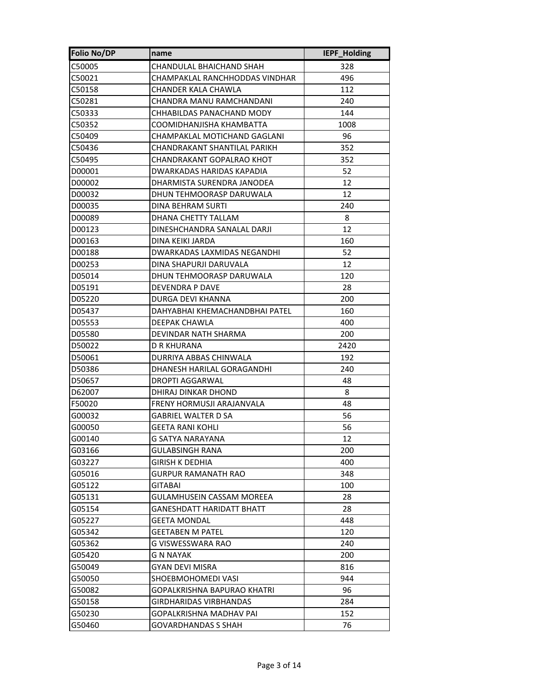| <b>Folio No/DP</b> | name                             | IEPF_Holding |
|--------------------|----------------------------------|--------------|
| C50005             | CHANDULAL BHAICHAND SHAH         | 328          |
| C50021             | CHAMPAKLAL RANCHHODDAS VINDHAR   | 496          |
| C50158             | CHANDER KALA CHAWLA              | 112          |
| C50281             | CHANDRA MANU RAMCHANDANI         | 240          |
| C50333             | CHHABILDAS PANACHAND MODY        | 144          |
| C50352             | COOMIDHANJISHA KHAMBATTA         | 1008         |
| C50409             | CHAMPAKLAL MOTICHAND GAGLANI     | 96           |
| C50436             | CHANDRAKANT SHANTILAL PARIKH     | 352          |
| C50495             | CHANDRAKANT GOPALRAO KHOT        | 352          |
| D00001             | DWARKADAS HARIDAS KAPADIA        | 52           |
| D00002             | DHARMISTA SURENDRA JANODEA       | 12           |
| D00032             | DHUN TEHMOORASP DARUWALA         | 12           |
| D00035             | <b>DINA BEHRAM SURTI</b>         | 240          |
| D00089             | DHANA CHETTY TALLAM              | 8            |
| D00123             | DINESHCHANDRA SANALAL DARJI      | 12           |
| D00163             | DINA KEIKI JARDA                 | 160          |
| D00188             | DWARKADAS LAXMIDAS NEGANDHI      | 52           |
| D00253             | DINA SHAPURJI DARUVALA           | 12           |
| D05014             | DHUN TEHMOORASP DARUWALA         | 120          |
| D05191             | DEVENDRA P DAVE                  | 28           |
| D05220             | DURGA DEVI KHANNA                | 200          |
| D05437             | DAHYABHAI KHEMACHANDBHAI PATEL   | 160          |
| D05553             | DEEPAK CHAWLA                    | 400          |
| D05580             | DEVINDAR NATH SHARMA             | 200          |
| D50022             | D R KHURANA                      | 2420         |
| D50061             | DURRIYA ABBAS CHINWALA           | 192          |
| D50386             | DHANESH HARILAL GORAGANDHI       | 240          |
| D50657             | DROPTI AGGARWAL                  | 48           |
| D62007             | DHIRAJ DINKAR DHOND              | 8            |
| F50020             | FRENY HORMUSJI ARAJANVALA        | 48           |
| G00032             | <b>GABRIEL WALTER D SA</b>       | 56           |
| G00050             | <b>GEETA RANI KOHLI</b>          | 56           |
| G00140             | <b>G SATYA NARAYANA</b>          | 12           |
| G03166             | GULABSINGH RANA                  | 200          |
| G03227             | GIRISH K DEDHIA                  | 400          |
| G05016             | GURPUR RAMANATH RAO              | 348          |
| G05122             | GITABAI                          | 100          |
| G05131             | <b>GULAMHUSEIN CASSAM MOREEA</b> | 28           |
| G05154             | GANESHDATT HARIDATT BHATT        | 28           |
| G05227             | GEETA MONDAL                     | 448          |
| G05342             | <b>GEETABEN M PATEL</b>          | 120          |
| G05362             | G VISWESSWARA RAO                | 240          |
| G05420             | G N NAYAK                        | 200          |
| G50049             | GYAN DEVI MISRA                  | 816          |
| G50050             | SHOEBMOHOMEDI VASI               | 944          |
| G50082             | GOPALKRISHNA BAPURAO KHATRI      | 96           |
| G50158             | GIRDHARIDAS VIRBHANDAS           | 284          |
| G50230             | GOPALKRISHNA MADHAV PAI          | 152          |
| G50460             | <b>GOVARDHANDAS S SHAH</b>       | 76           |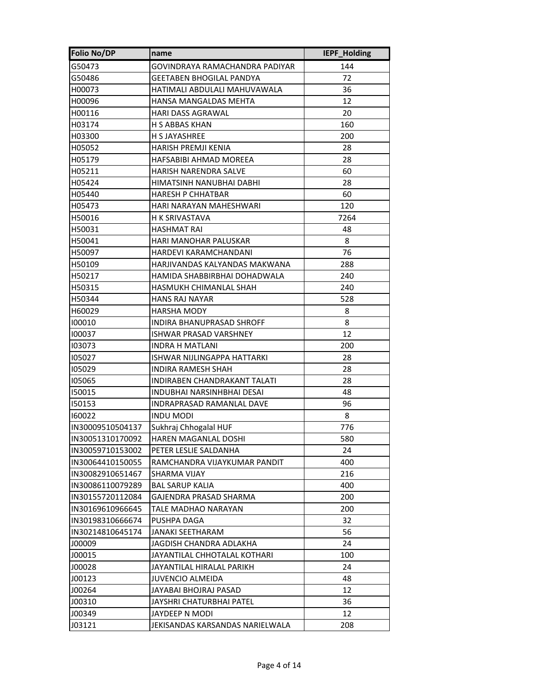| <b>Folio No/DP</b> | name                             | IEPF_Holding |
|--------------------|----------------------------------|--------------|
| G50473             | GOVINDRAYA RAMACHANDRA PADIYAR   | 144          |
| G50486             | <b>GEETABEN BHOGILAL PANDYA</b>  | 72           |
| H00073             | HATIMALI ABDULALI MAHUVAWALA     | 36           |
| H00096             | HANSA MANGALDAS MEHTA            | 12           |
| H00116             | <b>HARI DASS AGRAWAL</b>         | 20           |
| H03174             | H S ABBAS KHAN                   | 160          |
| H03300             | <b>H S JAYASHREE</b>             | 200          |
| H05052             | HARISH PREMJI KENIA              | 28           |
| H05179             | HAFSABIBI AHMAD MOREEA           | 28           |
| H05211             | HARISH NARENDRA SALVE            | 60           |
| H05424             | HIMATSINH NANUBHAI DABHI         | 28           |
| H05440             | <b>HARESH P CHHATBAR</b>         | 60           |
| H05473             | HARI NARAYAN MAHESHWARI          | 120          |
| H50016             | H K SRIVASTAVA                   | 7264         |
| H50031             | <b>HASHMAT RAI</b>               | 48           |
| H50041             | <b>HARI MANOHAR PALUSKAR</b>     | 8            |
| H50097             | HARDEVI KARAMCHANDANI            | 76           |
| H50109             | HARJIVANDAS KALYANDAS MAKWANA    | 288          |
| H50217             | HAMIDA SHABBIRBHAI DOHADWALA     | 240          |
| H50315             | HASMUKH CHIMANLAL SHAH           | 240          |
| H50344             | <b>HANS RAJ NAYAR</b>            | 528          |
| H60029             | <b>HARSHA MODY</b>               | 8            |
| 100010             | <b>INDIRA BHANUPRASAD SHROFF</b> | 8            |
| 100037             | <b>ISHWAR PRASAD VARSHNEY</b>    | 12           |
| 103073             | INDRA H MATLANI                  | 200          |
| 105027             | ISHWAR NIJLINGAPPA HATTARKI      | 28           |
| 105029             | INDIRA RAMESH SHAH               | 28           |
| 105065             | INDIRABEN CHANDRAKANT TALATI     | 28           |
| 150015             | INDUBHAI NARSINHBHAI DESAI       | 48           |
| 150153             | INDRAPRASAD RAMANLAL DAVE        | 96           |
| 160022             | <b>INDU MODI</b>                 | 8            |
| IN30009510504137   | Sukhraj Chhogalal HUF            | 776          |
| IN30051310170092   | HAREN MAGANLAL DOSHI             | 580          |
| IN30059710153002   | PETER LESLIE SALDANHA            | 24           |
| IN30064410150055   | RAMCHANDRA VIJAYKUMAR PANDIT     | 400          |
| IN30082910651467   | SHARMA VIJAY                     | 216          |
| IN30086110079289   | <b>BAL SARUP KALIA</b>           | 400          |
| IN30155720112084   | GAJENDRA PRASAD SHARMA           | 200          |
| IN30169610966645   | TALE MADHAO NARAYAN              | 200          |
| IN30198310666674   | PUSHPA DAGA                      | 32           |
| IN30214810645174   | JANAKI SEETHARAM                 | 56           |
| J00009             | JAGDISH CHANDRA ADLAKHA          | 24           |
| J00015             | JAYANTILAL CHHOTALAL KOTHARI     | 100          |
| J00028             | JAYANTILAL HIRALAL PARIKH        | 24           |
| J00123             | JUVENCIO ALMEIDA                 | 48           |
| J00264             | JAYABAI BHOJRAJ PASAD            | 12           |
| J00310             | JAYSHRI CHATURBHAI PATEL         | 36           |
| J00349             | JAYDEEP N MODI                   | 12           |
| J03121             | JEKISANDAS KARSANDAS NARIELWALA  | 208          |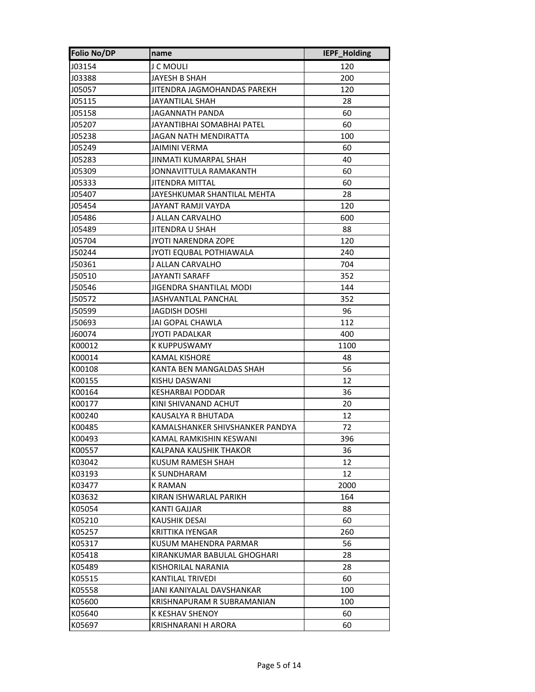| <b>Folio No/DP</b> | name                            | IEPF_Holding |
|--------------------|---------------------------------|--------------|
| J03154             | J C MOULI                       | 120          |
| J03388             | JAYESH B SHAH                   | 200          |
| J05057             | JITENDRA JAGMOHANDAS PAREKH     | 120          |
| J05115             | JAYANTILAL SHAH                 | 28           |
| J05158             | JAGANNATH PANDA                 | 60           |
| J05207             | JAYANTIBHAI SOMABHAI PATEL      | 60           |
| J05238             | JAGAN NATH MENDIRATTA           | 100          |
| J05249             | <b>JAIMINI VERMA</b>            | 60           |
| J05283             | JINMATI KUMARPAL SHAH           | 40           |
| J05309             | JONNAVITTULA RAMAKANTH          | 60           |
| J05333             | JITENDRA MITTAL                 | 60           |
| J05407             | JAYESHKUMAR SHANTILAL MEHTA     | 28           |
| J05454             | JAYANT RAMJI VAYDA              | 120          |
| J05486             | J ALLAN CARVALHO                | 600          |
| J05489             | JITENDRA U SHAH                 | 88           |
| J05704             | JYOTI NARENDRA ZOPE             | 120          |
| J50244             | JYOTI EQUBAL POTHIAWALA         | 240          |
| J50361             | J ALLAN CARVALHO                | 704          |
| J50510             | <b>JAYANTI SARAFF</b>           | 352          |
| J50546             | JIGENDRA SHANTILAL MODI         | 144          |
| J50572             | JASHVANTLAL PANCHAL             | 352          |
| J50599             | <b>JAGDISH DOSHI</b>            | 96           |
| J50693             | JAI GOPAL CHAWLA                | 112          |
| J60074             | JYOTI PADALKAR                  | 400          |
| K00012             | K KUPPUSWAMY                    | 1100         |
| K00014             | KAMAL KISHORE                   | 48           |
| K00108             | KANTA BEN MANGALDAS SHAH        | 56           |
| K00155             | KISHU DASWANI                   | 12           |
| K00164             | <b>KESHARBAI PODDAR</b>         | 36           |
| K00177             | KINI SHIVANAND ACHUT            | 20           |
| K00240             | KAUSALYA R BHUTADA              | 12           |
| K00485             | KAMALSHANKER SHIVSHANKER PANDYA | 72           |
| K00493             | KAMAL RAMKISHIN KESWANI         | 396          |
| K00557             | KALPANA KAUSHIK THAKOR          | 36           |
| K03042             | KUSUM RAMESH SHAH               | 12           |
| K03193             | K SUNDHARAM                     | 12           |
| K03477             | K RAMAN                         | 2000         |
| K03632             | KIRAN ISHWARLAL PARIKH          | 164          |
| K05054             | KANTI GAJJAR                    | 88           |
| K05210             | <b>KAUSHIK DESAI</b>            | 60           |
| K05257             | KRITTIKA IYENGAR                | 260          |
| K05317             | KUSUM MAHENDRA PARMAR           | 56           |
| K05418             | KIRANKUMAR BABULAL GHOGHARI     | 28           |
| K05489             | KISHORILAL NARANIA              | 28           |
| K05515             | KANTILAL TRIVEDI                | 60           |
| K05558             | JANI KANIYALAL DAVSHANKAR       | 100          |
| K05600             | KRISHNAPURAM R SUBRAMANIAN      | 100          |
| K05640             | K KESHAV SHENOY                 | 60           |
| K05697             | KRISHNARANI H ARORA             | 60           |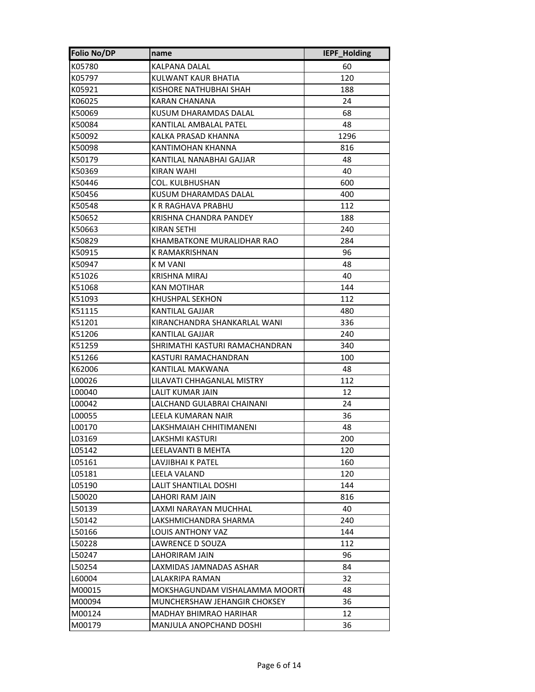| <b>Folio No/DP</b> | name                           | <b>IEPF Holding</b> |
|--------------------|--------------------------------|---------------------|
| K05780             | KALPANA DALAL                  | 60                  |
| K05797             | KULWANT KAUR BHATIA            | 120                 |
| K05921             | KISHORE NATHUBHAI SHAH         | 188                 |
| K06025             | KARAN CHANANA                  | 24                  |
| K50069             | KUSUM DHARAMDAS DALAL          | 68                  |
| K50084             | KANTILAL AMBALAL PATEL         | 48                  |
| K50092             | KALKA PRASAD KHANNA            | 1296                |
| K50098             | KANTIMOHAN KHANNA              | 816                 |
| K50179             | KANTILAL NANABHAI GAJJAR       | 48                  |
| K50369             | KIRAN WAHI                     | 40                  |
| K50446             | COL. KULBHUSHAN                | 600                 |
| K50456             | KUSUM DHARAMDAS DALAL          | 400                 |
| K50548             | K R RAGHAVA PRABHU             | 112                 |
| K50652             | KRISHNA CHANDRA PANDEY         | 188                 |
| K50663             | KIRAN SETHI                    | 240                 |
| K50829             | KHAMBATKONE MURALIDHAR RAO     | 284                 |
| K50915             | <b>K RAMAKRISHNAN</b>          | 96                  |
| K50947             | K M VANI                       | 48                  |
| K51026             | KRISHNA MIRAJ                  | 40                  |
| K51068             | KAN MOTIHAR                    | 144                 |
| K51093             | KHUSHPAL SEKHON                | 112                 |
| K51115             | KANTILAL GAJJAR                | 480                 |
| K51201             | KIRANCHANDRA SHANKARLAL WANI   | 336                 |
| K51206             | <b>KANTILAL GAJJAR</b>         | 240                 |
| K51259             | SHRIMATHI KASTURI RAMACHANDRAN | 340                 |
| K51266             | KASTURI RAMACHANDRAN           | 100                 |
| K62006             | KANTILAL MAKWANA               | 48                  |
| L00026             | LILAVATI CHHAGANLAL MISTRY     | 112                 |
| L00040             | LALIT KUMAR JAIN               | 12                  |
| L00042             | LALCHAND GULABRAI CHAINANI     | 24                  |
| L00055             | LEELA KUMARAN NAIR             | 36                  |
| L00170             | LAKSHMAIAH CHHITIMANENI        | 48                  |
| L03169             | LAKSHMI KASTURI                | 200                 |
| L05142             | LEELAVANTI B MEHTA             | 120                 |
| L05161             | LAVJIBHAI K PATEL              | 160                 |
| L05181             | LEELA VALAND                   | 120                 |
| L05190             | LALIT SHANTILAL DOSHI          | 144                 |
| L50020             | LAHORI RAM JAIN                | 816                 |
| L50139             | LAXMI NARAYAN MUCHHAL          | 40                  |
| L50142             | LAKSHMICHANDRA SHARMA          | 240                 |
| L50166             | LOUIS ANTHONY VAZ              | 144                 |
| L50228             | LAWRENCE D SOUZA               | 112                 |
| L50247             | LAHORIRAM JAIN                 | 96                  |
| L50254             | LAXMIDAS JAMNADAS ASHAR        | 84                  |
| L60004             | LALAKRIPA RAMAN                | 32                  |
| M00015             | MOKSHAGUNDAM VISHALAMMA MOORTI | 48                  |
| M00094             | MUNCHERSHAW JEHANGIR CHOKSEY   | 36                  |
| M00124             | MADHAY BHIMRAO HARIHAR         | 12                  |
| M00179             | MANJULA ANOPCHAND DOSHI        | 36                  |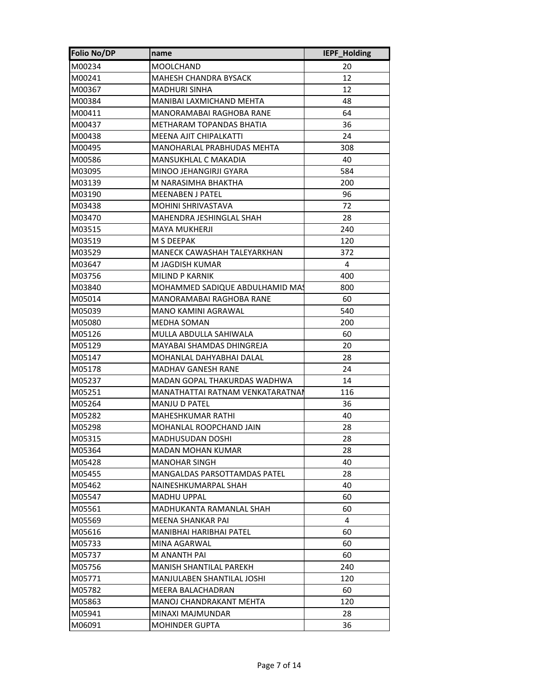| <b>Folio No/DP</b> | name                                | IEPF_Holding |
|--------------------|-------------------------------------|--------------|
| M00234             | MOOLCHAND                           | 20           |
| M00241             | MAHESH CHANDRA BYSACK               | 12           |
| M00367             | <b>MADHURI SINHA</b>                | 12           |
| M00384             | MANIBAI LAXMICHAND MEHTA            | 48           |
| M00411             | MANORAMABAI RAGHOBA RANE            | 64           |
| M00437             | METHARAM TOPANDAS BHATIA            | 36           |
| M00438             | MEENA AJIT CHIPALKATTI              | 24           |
| M00495             | MANOHARLAL PRABHUDAS MEHTA          | 308          |
| M00586             | MANSUKHLAL C MAKADIA                | 40           |
| M03095             | MINOO JEHANGIRJI GYARA              | 584          |
| M03139             | M NARASIMHA BHAKTHA                 | 200          |
| M03190             | <b>MEENABEN J PATEL</b>             | 96           |
| M03438             | <b>MOHINI SHRIVASTAVA</b>           | 72           |
| M03470             | MAHENDRA JESHINGLAL SHAH            | 28           |
| M03515             | <b>MAYA MUKHERJI</b>                | 240          |
| M03519             | M S DEEPAK                          | 120          |
| M03529             | MANECK CAWASHAH TALEYARKHAN         | 372          |
| M03647             | M JAGDISH KUMAR                     | 4            |
| M03756             | MILIND P KARNIK                     | 400          |
| M03840             | MOHAMMED SADIQUE ABDULHAMID MA!     | 800          |
| M05014             | <b>MANORAMABAI RAGHOBA RANE</b>     | 60           |
| M05039             | <b>MANO KAMINI AGRAWAL</b>          | 540          |
| M05080             | MEDHA SOMAN                         | 200          |
| M05126             | MULLA ABDULLA SAHIWALA              | 60           |
| M05129             | MAYABAI SHAMDAS DHINGREJA           | 20           |
| M05147             | MOHANLAL DAHYABHAI DALAL            | 28           |
| M05178             | <b>MADHAV GANESH RANE</b>           | 24           |
| M05237             | MADAN GOPAL THAKURDAS WADHWA        | 14           |
| M05251             | MANATHATTAI RATNAM VENKATARATNAI    | 116          |
| M05264             | <b>MANJU D PATEL</b>                | 36           |
| M05282             | <b>MAHESHKUMAR RATHI</b>            | 40           |
| M05298             | MOHANLAL ROOPCHAND JAIN             | 28           |
| M05315             | MADHUSUDAN DOSHI                    | 28           |
| M05364             | MADAN MOHAN KUMAR                   | 28           |
| M05428             | <b>MANOHAR SINGH</b>                | 40           |
| M05455             | <b>MANGALDAS PARSOTTAMDAS PATEL</b> | 28           |
| M05462             | NAINESHKUMARPAL SHAH                | 40           |
| M05547             | MADHU UPPAL                         | 60           |
| M05561             | MADHUKANTA RAMANLAL SHAH            | 60           |
| M05569             | MEENA SHANKAR PAI                   | 4            |
| M05616             | MANIBHAI HARIBHAI PATEL             | 60           |
| M05733             | MINA AGARWAL                        | 60           |
| M05737             | M ANANTH PAI                        | 60           |
| M05756             | MANISH SHANTILAL PAREKH             | 240          |
| M05771             | MANJULABEN SHANTILAL JOSHI          | 120          |
| M05782             | MEERA BALACHADRAN                   | 60           |
| M05863             | MANOJ CHANDRAKANT MEHTA             | 120          |
| M05941             | MINAXI MAJMUNDAR                    | 28           |
| M06091             | <b>MOHINDER GUPTA</b>               | 36           |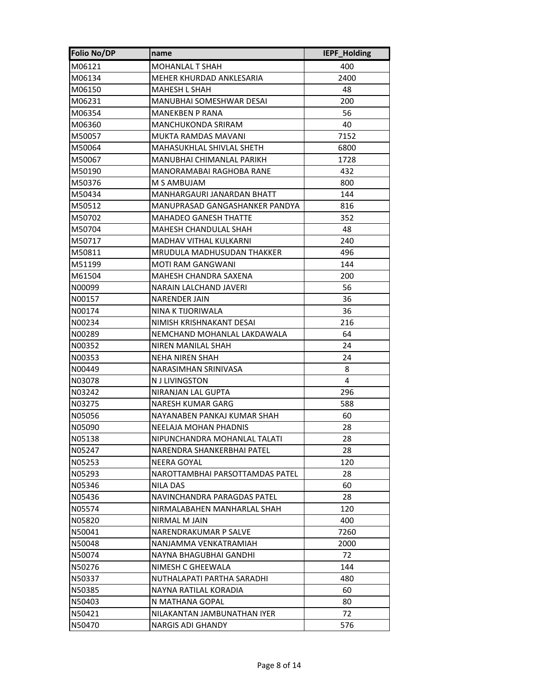| <b>Folio No/DP</b> | name                            | IEPF_Holding |
|--------------------|---------------------------------|--------------|
| M06121             | <b>MOHANLAL T SHAH</b>          | 400          |
| M06134             | MEHER KHURDAD ANKLESARIA        | 2400         |
| M06150             | MAHESH L SHAH                   | 48           |
| M06231             | MANUBHAI SOMESHWAR DESAI        | 200          |
| M06354             | MANEKBEN P RANA                 | 56           |
| M06360             | MANCHUKONDA SRIRAM              | 40           |
| M50057             | MUKTA RAMDAS MAVANI             | 7152         |
| M50064             | MAHASUKHLAL SHIVLAL SHETH       | 6800         |
| M50067             | MANUBHAI CHIMANLAL PARIKH       | 1728         |
| M50190             | MANORAMABAI RAGHOBA RANE        | 432          |
| M50376             | M S AMBUJAM                     | 800          |
| M50434             | MANHARGAURI JANARDAN BHATT      | 144          |
| M50512             | MANUPRASAD GANGASHANKER PANDYA  | 816          |
| M50702             | MAHADEO GANESH THATTE           | 352          |
| M50704             | MAHESH CHANDULAL SHAH           | 48           |
| M50717             | MADHAV VITHAL KULKARNI          | 240          |
| M50811             | MRUDULA MADHUSUDAN THAKKER      | 496          |
| M51199             | <b>MOTI RAM GANGWANI</b>        | 144          |
| M61504             | <b>MAHESH CHANDRA SAXENA</b>    | 200          |
| N00099             | NARAIN LALCHAND JAVERI          | 56           |
| N00157             | <b>NARENDER JAIN</b>            | 36           |
| N00174             | NINA K TIJORIWALA               | 36           |
| N00234             | NIMISH KRISHNAKANT DESAI        | 216          |
| N00289             | NEMCHAND MOHANLAL LAKDAWALA     | 64           |
| N00352             | NIREN MANILAL SHAH              | 24           |
| N00353             | NEHA NIREN SHAH                 | 24           |
| N00449             | NARASIMHAN SRINIVASA            | 8            |
| N03078             | <b>N J LIVINGSTON</b>           | 4            |
| N03242             | NIRANJAN LAL GUPTA              | 296          |
| N03275             | <b>NARESH KUMAR GARG</b>        | 588          |
| N05056             | NAYANABEN PANKAJ KUMAR SHAH     | 60           |
| N05090             | NEELAJA MOHAN PHADNIS           | 28           |
| N05138             | NIPUNCHANDRA MOHANLAL TALATI    | 28           |
| N05247             | NARENDRA SHANKERBHAI PATEL      | 28           |
| N05253             | NEERA GOYAL                     | 120          |
| N05293             | NAROTTAMBHAI PARSOTTAMDAS PATEL | 28           |
| N05346             | <b>NILA DAS</b>                 | 60           |
| N05436             | NAVINCHANDRA PARAGDAS PATEL     | 28           |
| N05574             | NIRMALABAHEN MANHARLAL SHAH     | 120          |
| N05820             | NIRMAL M JAIN                   | 400          |
| N50041             | NARENDRAKUMAR P SALVE           | 7260         |
| N50048             | NANJAMMA VENKATRAMIAH           | 2000         |
| N50074             | NAYNA BHAGUBHAI GANDHI          | 72           |
| N50276             | NIMESH C GHEEWALA               | 144          |
| N50337             | NUTHALAPATI PARTHA SARADHI      | 480          |
| N50385             | NAYNA RATILAL KORADIA           | 60           |
| N50403             | N MATHANA GOPAL                 | 80           |
| N50421             | NILAKANTAN JAMBUNATHAN IYER     | 72           |
| N50470             | <b>NARGIS ADI GHANDY</b>        | 576          |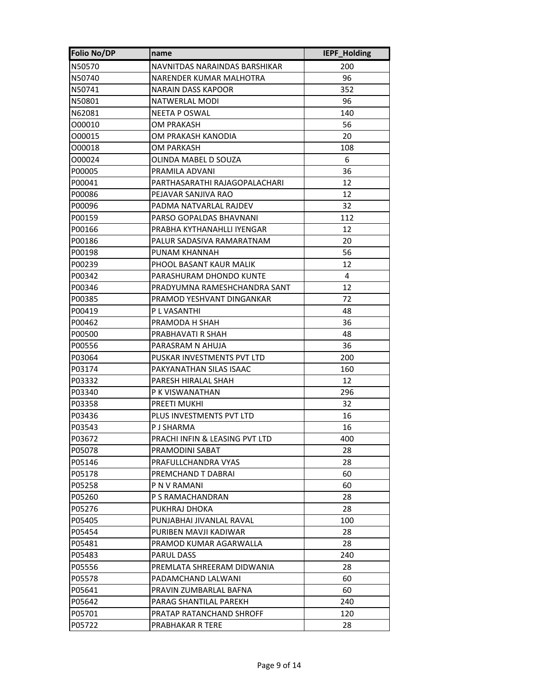| <b>Folio No/DP</b> | name                           | IEPF_Holding |
|--------------------|--------------------------------|--------------|
| N50570             | NAVNITDAS NARAINDAS BARSHIKAR  | 200          |
| N50740             | NARENDER KUMAR MALHOTRA        | 96           |
| N50741             | NARAIN DASS KAPOOR             | 352          |
| N50801             | <b>NATWERLAL MODI</b>          | 96           |
| N62081             | <b>NEETA P OSWAL</b>           | 140          |
| 000010             | OM PRAKASH                     | 56           |
| 000015             | OM PRAKASH KANODIA             | 20           |
| 000018             | OM PARKASH                     | 108          |
| 000024             | OLINDA MABEL D SOUZA           | 6            |
| P00005             | PRAMILA ADVANI                 | 36           |
| P00041             | PARTHASARATHI RAJAGOPALACHARI  | 12           |
| P00086             | PEJAVAR SANJIVA RAO            | 12           |
| P00096             | PADMA NATVARLAL RAJDEV         | 32           |
| P00159             | PARSO GOPALDAS BHAVNANI        | 112          |
| P00166             | PRABHA KYTHANAHLLI IYENGAR     | 12           |
| P00186             | PALUR SADASIVA RAMARATNAM      | 20           |
| P00198             | PUNAM KHANNAH                  | 56           |
| P00239             | PHOOL BASANT KAUR MALIK        | 12           |
| P00342             | PARASHURAM DHONDO KUNTE        | 4            |
| P00346             | PRADYUMNA RAMESHCHANDRA SANT   | 12           |
| P00385             | PRAMOD YESHVANT DINGANKAR      | 72           |
| P00419             | P L VASANTHI                   | 48           |
| P00462             | PRAMODA H SHAH                 | 36           |
| P00500             | PRABHAVATI R SHAH              | 48           |
| P00556             | PARASRAM N AHUJA               | 36           |
| P03064             | PUSKAR INVESTMENTS PVT LTD     | 200          |
| P03174             | PAKYANATHAN SILAS ISAAC        | 160          |
| P03332             | PARESH HIRALAL SHAH            | 12           |
| P03340             | P K VISWANATHAN                | 296          |
| P03358             | PREETI MUKHI                   | 32           |
| P03436             | PLUS INVESTMENTS PVT LTD       | 16           |
| P03543             | P J SHARMA                     | 16           |
| P03672             | PRACHI INFIN & LEASING PVT LTD | 400          |
| P05078             | PRAMODINI SABAT                | 28           |
| P05146             | PRAFULLCHANDRA VYAS            | 28           |
| P05178             | PREMCHAND T DABRAI             | 60           |
| P05258             | P N V RAMANI                   | 60           |
| P05260             | P S RAMACHANDRAN               | 28           |
| P05276             | PUKHRAJ DHOKA                  | 28           |
| P05405             | PUNJABHAI JIVANLAL RAVAL       | 100          |
| P05454             | PURIBEN MAVJI KADIWAR          | 28           |
| P05481             | PRAMOD KUMAR AGARWALLA         | 28           |
| P05483             | PARUL DASS                     | 240          |
| P05556             | PREMLATA SHREERAM DIDWANIA     | 28           |
| P05578             | PADAMCHAND LALWANI             | 60           |
| P05641             | PRAVIN ZUMBARLAL BAFNA         | 60           |
| P05642             | PARAG SHANTILAL PAREKH         | 240          |
| P05701             | PRATAP RATANCHAND SHROFF       | 120          |
| P05722             | PRABHAKAR R TERE               | 28           |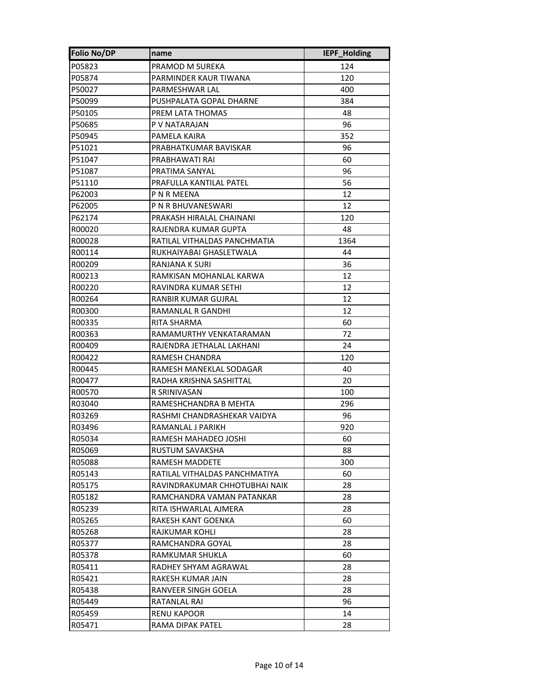| <b>Folio No/DP</b> | name                          | IEPF_Holding |
|--------------------|-------------------------------|--------------|
| P05823             | PRAMOD M SUREKA               | 124          |
| P05874             | PARMINDER KAUR TIWANA         | 120          |
| P50027             | PARMESHWAR LAL                | 400          |
| P50099             | PUSHPALATA GOPAL DHARNE       | 384          |
| P50105             | PREM LATA THOMAS              | 48           |
| P50685             | P V NATARAJAN                 | 96           |
| P50945             | PAMELA KAIRA                  | 352          |
| P51021             | PRABHATKUMAR BAVISKAR         | 96           |
| P51047             | PRABHAWATI RAI                | 60           |
| P51087             | PRATIMA SANYAL                | 96           |
| P51110             | PRAFULLA KANTILAL PATEL       | 56           |
| P62003             | P N R MEENA                   | 12           |
| P62005             | P N R BHUVANESWARI            | 12           |
| P62174             | PRAKASH HIRALAL CHAINANI      | 120          |
| R00020             | RAJENDRA KUMAR GUPTA          | 48           |
| R00028             | RATILAL VITHALDAS PANCHMATIA  | 1364         |
| R00114             | RUKHAIYABAI GHASLETWALA       | 44           |
| R00209             | RANJANA K SURI                | 36           |
| R00213             | RAMKISAN MOHANLAL KARWA       | 12           |
| R00220             | RAVINDRA KUMAR SETHI          | 12           |
| R00264             | RANBIR KUMAR GUJRAL           | 12           |
| R00300             | RAMANLAL R GANDHI             | 12           |
| R00335             | RITA SHARMA                   | 60           |
| R00363             | RAMAMURTHY VENKATARAMAN       | 72           |
| R00409             | RAJENDRA JETHALAL LAKHANI     | 24           |
| R00422             | RAMESH CHANDRA                | 120          |
| R00445             | RAMESH MANEKLAL SODAGAR       | 40           |
| R00477             | RADHA KRISHNA SASHITTAL       | 20           |
| R00570             | R SRINIVASAN                  | 100          |
| R03040             | RAMESHCHANDRA B MEHTA         | 296          |
| R03269             | RASHMI CHANDRASHEKAR VAIDYA   | 96           |
| R03496             | RAMANLAL J PARIKH             | 920          |
| R05034             | RAMESH MAHADEO JOSHI          | 60           |
| R05069             | RUSTUM SAVAKSHA               | 88           |
| R05088             | RAMESH MADDETE                | 300          |
| R05143             | RATILAL VITHALDAS PANCHMATIYA | 60           |
| R05175             | RAVINDRAKUMAR CHHOTUBHAI NAIK | 28           |
| R05182             | RAMCHANDRA VAMAN PATANKAR     | 28           |
| R05239             | RITA ISHWARLAL AJMERA         | 28           |
| R05265             | RAKESH KANT GOENKA            | 60           |
| R05268             | RAJKUMAR KOHLI                | 28           |
| R05377             | RAMCHANDRA GOYAL              | 28           |
| R05378             | RAMKUMAR SHUKLA               | 60           |
| R05411             | RADHEY SHYAM AGRAWAL          | 28           |
| R05421             | RAKESH KUMAR JAIN             | 28           |
| R05438             | RANVEER SINGH GOELA           | 28           |
| R05449             | RATANLAL RAI                  | 96           |
| R05459             | RENU KAPOOR                   | 14           |
| R05471             | RAMA DIPAK PATEL              | 28           |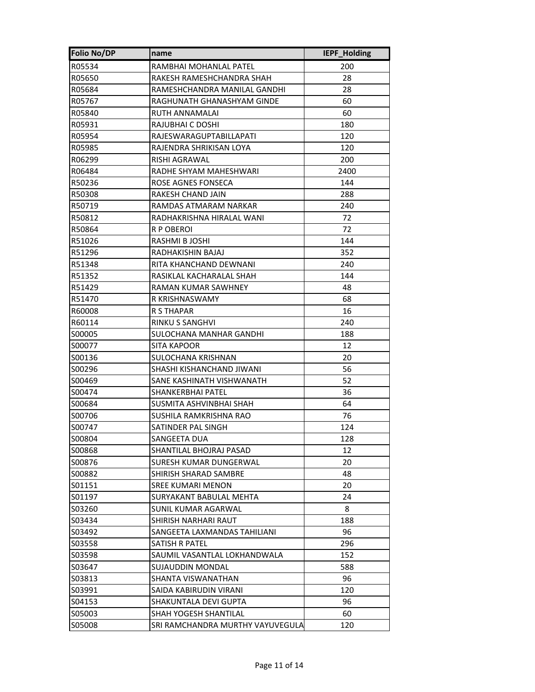| <b>Folio No/DP</b> | name                             | IEPF_Holding |
|--------------------|----------------------------------|--------------|
| R05534             | RAMBHAI MOHANLAL PATEL           | 200          |
| R05650             | RAKESH RAMESHCHANDRA SHAH        | 28           |
| R05684             | RAMESHCHANDRA MANILAL GANDHI     | 28           |
| R05767             | RAGHUNATH GHANASHYAM GINDE       | 60           |
| R05840             | RUTH ANNAMALAI                   | 60           |
| R05931             | RAJUBHAI C DOSHI                 | 180          |
| R05954             | RAJESWARAGUPTABILLAPATI          | 120          |
| R05985             | RAJENDRA SHRIKISAN LOYA          | 120          |
| R06299             | RISHI AGRAWAL                    | 200          |
| R06484             | RADHE SHYAM MAHESHWARI           | 2400         |
| R50236             | ROSE AGNES FONSECA               | 144          |
| R50308             | RAKESH CHAND JAIN                | 288          |
| R50719             | RAMDAS ATMARAM NARKAR            | 240          |
| R50812             | RADHAKRISHNA HIRALAL WANI        | 72           |
| R50864             | R P OBEROI                       | 72           |
| R51026             | RASHMI B JOSHI                   | 144          |
| R51296             | RADHAKISHIN BAJAJ                | 352          |
| R51348             | RITA KHANCHAND DEWNANI           | 240          |
| R51352             | RASIKLAL KACHARALAL SHAH         | 144          |
| R51429             | RAMAN KUMAR SAWHNEY              | 48           |
| R51470             | R KRISHNASWAMY                   | 68           |
| R60008             | R S THAPAR                       | 16           |
| R60114             | RINKU S SANGHVI                  | 240          |
| S00005             | SULOCHANA MANHAR GANDHI          | 188          |
| S00077             | SITA KAPOOR                      | 12           |
| S00136             | SULOCHANA KRISHNAN               | 20           |
| S00296             | SHASHI KISHANCHAND JIWANI        | 56           |
| S00469             | SANE KASHINATH VISHWANATH        | 52           |
| S00474             | SHANKERBHAI PATEL                | 36           |
| S00684             | SUSMITA ASHVINBHAI SHAH          | 64           |
| S00706             | SUSHILA RAMKRISHNA RAO           | 76           |
| S00747             | SATINDER PAL SINGH               | 124          |
| S00804             | SANGEETA DUA                     | 128          |
| S00868             | SHANTILAL BHOJRAJ PASAD          | 12           |
| S00876             | SURESH KUMAR DUNGERWAL           | 20           |
| S00882             | SHIRISH SHARAD SAMBRE            | 48           |
| S01151             | <b>SREE KUMARI MENON</b>         | 20           |
| S01197             | SURYAKANT BABULAL MEHTA          | 24           |
| S03260             | SUNIL KUMAR AGARWAL              | 8            |
| S03434             | SHIRISH NARHARI RAUT             | 188          |
| S03492             | SANGEETA LAXMANDAS TAHILIANI     | 96           |
| S03558             | SATISH R PATEL                   | 296          |
| S03598             | SAUMIL VASANTLAL LOKHANDWALA     | 152          |
| S03647             | SUJAUDDIN MONDAL                 | 588          |
| \$03813            | SHANTA VISWANATHAN               | 96           |
| S03991             | SAIDA KABIRUDIN VIRANI           | 120          |
| S04153             | SHAKUNTALA DEVI GUPTA            | 96           |
| S05003             | SHAH YOGESH SHANTILAL            | 60           |
| S05008             | SRI RAMCHANDRA MURTHY VAYUVEGULA | 120          |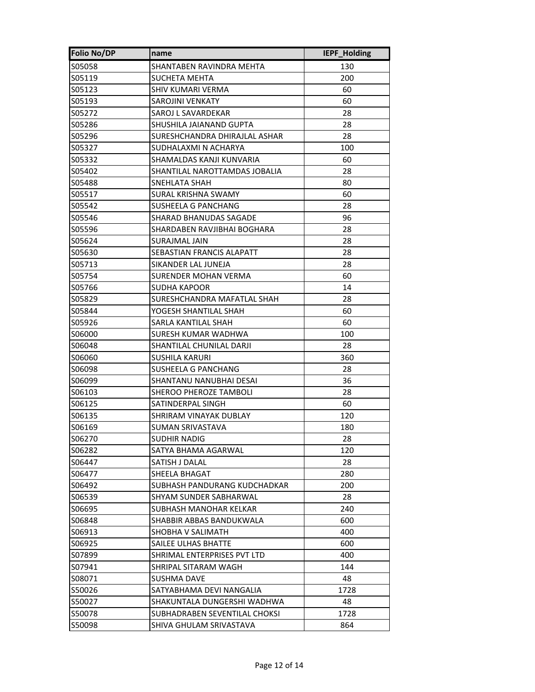| <b>Folio No/DP</b> | name                          | IEPF_Holding |
|--------------------|-------------------------------|--------------|
| S05058             | SHANTABEN RAVINDRA MEHTA      | 130          |
| S05119             | SUCHETA MEHTA                 | 200          |
| S05123             | SHIV KUMARI VERMA             | 60           |
| S05193             | <b>SAROJINI VENKATY</b>       | 60           |
| S05272             | SAROJ L SAVARDEKAR            | 28           |
| S05286             | SHUSHILA JAIANAND GUPTA       | 28           |
| S05296             | SURESHCHANDRA DHIRAJLAL ASHAR | 28           |
| S05327             | SUDHALAXMI N ACHARYA          | 100          |
| S05332             | SHAMALDAS KANJI KUNVARIA      | 60           |
| S05402             | SHANTILAL NAROTTAMDAS JOBALIA | 28           |
| S05488             | SNEHLATA SHAH                 | 80           |
| S05517             | SURAL KRISHNA SWAMY           | 60           |
| S05542             | SUSHEELA G PANCHANG           | 28           |
| S05546             | SHARAD BHANUDAS SAGADE        | 96           |
| S05596             | SHARDABEN RAVJIBHAI BOGHARA   | 28           |
| S05624             | SURAJMAL JAIN                 | 28           |
| S05630             | SEBASTIAN FRANCIS ALAPATT     | 28           |
| S05713             | SIKANDER LAL JUNEJA           | 28           |
| S05754             | SURENDER MOHAN VERMA          | 60           |
| S05766             | SUDHA KAPOOR                  | 14           |
| S05829             | SURESHCHANDRA MAFATLAL SHAH   | 28           |
| S05844             | YOGESH SHANTILAL SHAH         | 60           |
| S05926             | SARLA KANTILAL SHAH           | 60           |
| S06000             | SURESH KUMAR WADHWA           | 100          |
| S06048             | SHANTILAL CHUNILAL DARJI      | 28           |
| S06060             | SUSHILA KARURI                | 360          |
| S06098             | SUSHEELA G PANCHANG           | 28           |
| S06099             | SHANTANU NANUBHAI DESAI       | 36           |
| S06103             | SHEROO PHEROZE TAMBOLI        | 28           |
| S06125             | SATINDERPAL SINGH             | 60           |
| S06135             | SHRIRAM VINAYAK DUBLAY        | 120          |
| S06169             | <b>SUMAN SRIVASTAVA</b>       | 180          |
| S06270             | <b>SUDHIR NADIG</b>           | 28           |
| S06282             | SATYA BHAMA AGARWAL           | 120          |
| S06447             | SATISH J DALAL                | 28           |
| S06477             | SHEELA BHAGAT                 | 280          |
| S06492             | SUBHASH PANDURANG KUDCHADKAR  | 200          |
| S06539             | SHYAM SUNDER SABHARWAL        | 28           |
| S06695             | SUBHASH MANOHAR KELKAR        | 240          |
| S06848             | SHABBIR ABBAS BANDUKWALA      | 600          |
| S06913             | SHOBHA V SALIMATH             | 400          |
| S06925             | SAILEE ULHAS BHATTE           | 600          |
| S07899             | SHRIMAL ENTERPRISES PVT LTD   | 400          |
| S07941             | SHRIPAL SITARAM WAGH          | 144          |
| S08071             | SUSHMA DAVE                   | 48           |
| S50026             | SATYABHAMA DEVI NANGALIA      | 1728         |
| S50027             | SHAKUNTALA DUNGERSHI WADHWA   | 48           |
| S50078             | SUBHADRABEN SEVENTILAL CHOKSI | 1728         |
| S50098             | SHIVA GHULAM SRIVASTAVA       | 864          |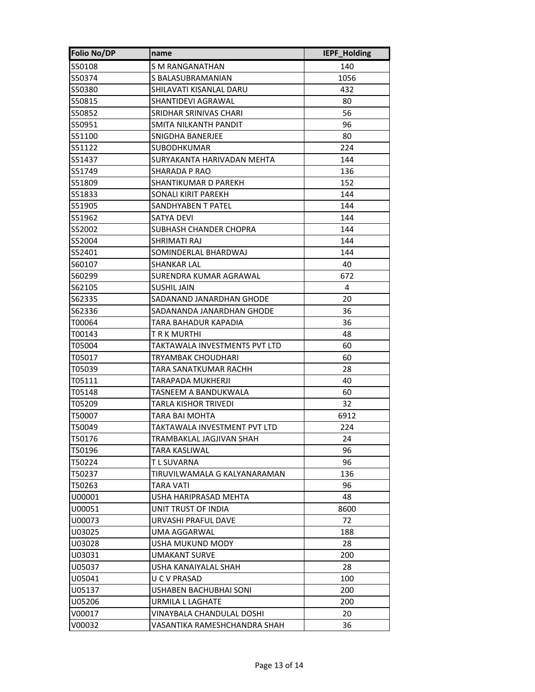| <b>Folio No/DP</b> | name                          | IEPF_Holding |
|--------------------|-------------------------------|--------------|
| S50108             | S M RANGANATHAN               | 140          |
| S50374             | S BALASUBRAMANIAN             | 1056         |
| S50380             | SHILAVATI KISANLAL DARU       | 432          |
| S50815             | SHANTIDEVI AGRAWAL            | 80           |
| S50852             | SRIDHAR SRINIVAS CHARI        | 56           |
| S50951             | SMITA NILKANTH PANDIT         | 96           |
| S51100             | SNIGDHA BANERJEE              | 80           |
| S51122             | <b>SUBODHKUMAR</b>            | 224          |
| S51437             | SURYAKANTA HARIVADAN MEHTA    | 144          |
| S51749             | SHARADA P RAO                 | 136          |
| S51809             | SHANTIKUMAR D PAREKH          | 152          |
| S51833             | SONALI KIRIT PAREKH           | 144          |
| S51905             | SANDHYABEN T PATEL            | 144          |
| S51962             | SATYA DEVI                    | 144          |
| S52002             | SUBHASH CHANDER CHOPRA        | 144          |
| S52004             | SHRIMATI RAJ                  | 144          |
| S52401             | SOMINDERLAL BHARDWAJ          | 144          |
| S60107             | <b>SHANKAR LAL</b>            | 40           |
| S60299             | SURENDRA KUMAR AGRAWAL        | 672          |
| S62105             | SUSHIL JAIN                   | 4            |
| S62335             | SADANAND JANARDHAN GHODE      | 20           |
| S62336             | SADANANDA JANARDHAN GHODE     | 36           |
| T00064             | TARA BAHADUR KAPADIA          | 36           |
| T00143             | T R K MURTHI                  | 48           |
| T05004             | TAKTAWALA INVESTMENTS PVT LTD | 60           |
| T05017             | TRYAMBAK CHOUDHARI            | 60           |
| T05039             | TARA SANATKUMAR RACHH         | 28           |
| T05111             | TARAPADA MUKHERJI             | 40           |
| T05148             | TASNEEM A BANDUKWALA          | 60           |
| T05209             | TARLA KISHOR TRIVEDI          | 32           |
| T50007             | TARA BAI MOHTA                | 6912         |
| T50049             | TAKTAWALA INVESTMENT PVT LTD  | 224          |
| T50176             | TRAMBAKLAL JAGJIVAN SHAH      | 24           |
| T50196             | TARA KASLIWAL                 | 96           |
| T50224             | T L SUVARNA                   | 96           |
| T50237             | TIRUVILWAMALA G KALYANARAMAN  | 136          |
| T50263             | TARA VATI                     | 96           |
| U00001             | USHA HARIPRASAD MEHTA         | 48           |
| U00051             | UNIT TRUST OF INDIA           | 8600         |
| U00073             | URVASHI PRAFUL DAVE           | 72           |
| U03025             | UMA AGGARWAL                  | 188          |
| U03028             | USHA MUKUND MODY              | 28           |
| U03031             | UMAKANT SURVE                 | 200          |
| U05037             | USHA KANAIYALAL SHAH          | 28           |
| U05041             | U C V PRASAD                  | 100          |
| U05137             | USHABEN BACHUBHAI SONI        | 200          |
| U05206             | URMILA L LAGHATE              | 200          |
| V00017             | VINAYBALA CHANDULAL DOSHI     | 20           |
| V00032             | VASANTIKA RAMESHCHANDRA SHAH  | 36           |